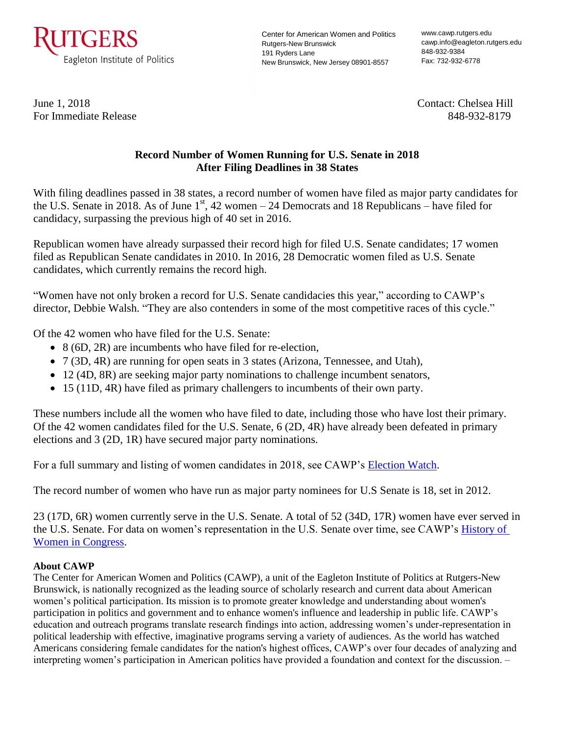

Center for American Women and Politics Rutgers-New Brunswick 191 Ryders Lane New Brunswick, New Jersey 08901-8557

www.cawp.rutgers.edu cawp.info@eagleton.rutgers.edu 848-932-9384 Fax: 732-932-6778

For Immediate Release 848-932-8179

June 1, 2018 Contact: Chelsea Hill

## **Record Number of Women Running for U.S. Senate in 2018 After Filing Deadlines in 38 States**

With filing deadlines passed in 38 states, a record number of women have filed as major party candidates for the U.S. Senate in 2018. As of June  $1<sup>st</sup>$ , 42 women – 24 Democrats and 18 Republicans – have filed for candidacy, surpassing the previous high of 40 set in 2016.

Republican women have already surpassed their record high for filed U.S. Senate candidates; 17 women filed as Republican Senate candidates in 2010. In 2016, 28 Democratic women filed as U.S. Senate candidates, which currently remains the record high.

"Women have not only broken a record for U.S. Senate candidacies this year," according to CAWP's director, Debbie Walsh. "They are also contenders in some of the most competitive races of this cycle."

Of the 42 women who have filed for the U.S. Senate:

- 8 (6D, 2R) are incumbents who have filed for re-election,
- 7 (3D, 4R) are running for open seats in 3 states (Arizona, Tennessee, and Utah),
- 12 (4D, 8R) are seeking major party nominations to challenge incumbent senators,
- 15 (11D, 4R) have filed as primary challengers to incumbents of their own party.

These numbers include all the women who have filed to date, including those who have lost their primary. Of the 42 women candidates filed for the U.S. Senate, 6 (2D, 4R) have already been defeated in primary elections and 3 (2D, 1R) have secured major party nominations.

For a full summary and listing of women candidates in 2018, see CAWP's [Election Watch.](http://cawp.rutgers.edu/potential-candidate-summary-2018)

The record number of women who have run as major party nominees for U.S Senate is 18, set in 2012.

23 (17D, 6R) women currently serve in the U.S. Senate. A total of 52 (34D, 17R) women have ever served in the U.S. Senate. For data on women's representation in the U.S. Senate over time, see CAWP's [History of](http://cawp.rutgers.edu/history-women-us-congress)  [Women in Congress.](http://cawp.rutgers.edu/history-women-us-congress)

## **About CAWP**

The Center for American Women and Politics (CAWP), a unit of the Eagleton Institute of Politics at Rutgers-New Brunswick, is nationally recognized as the leading source of scholarly research and current data about American women's political participation. Its mission is to promote greater knowledge and understanding about women's participation in politics and government and to enhance women's influence and leadership in public life. CAWP's education and outreach programs translate research findings into action, addressing women's under-representation in political leadership with effective, imaginative programs serving a variety of audiences. As the world has watched Americans considering female candidates for the nation's highest offices, CAWP's over four decades of analyzing and interpreting women's participation in American politics have provided a foundation and context for the discussion. –